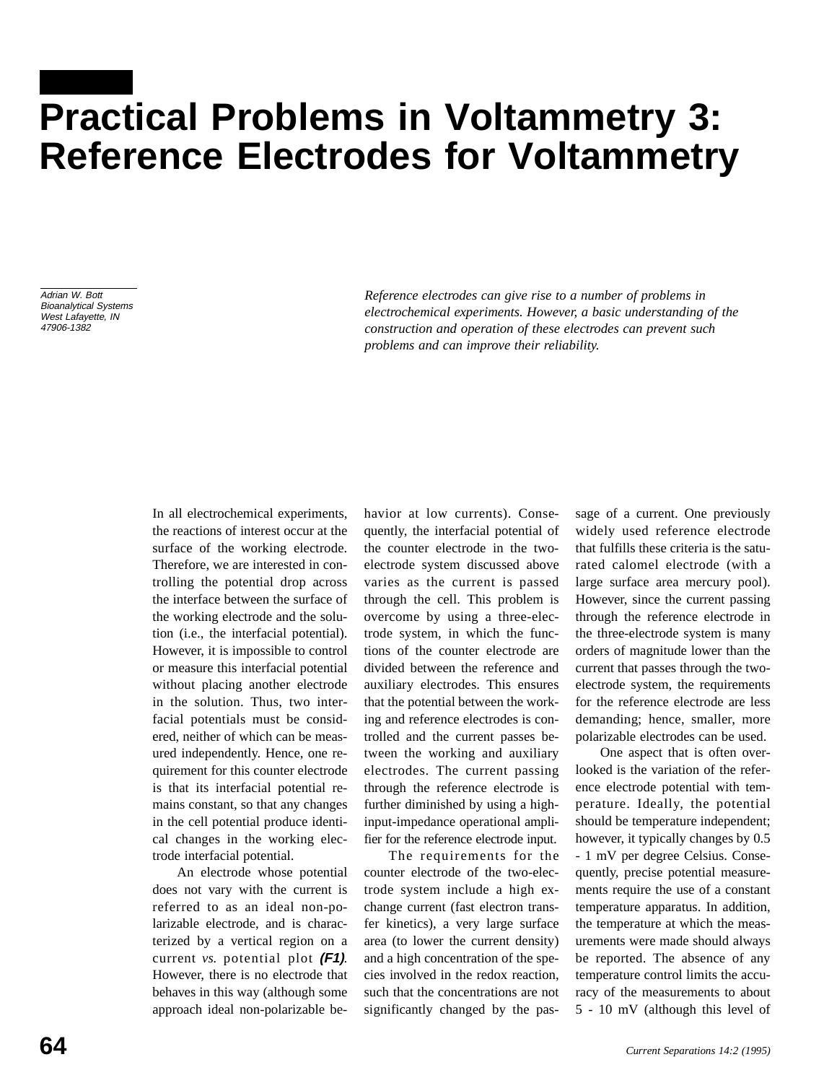# **Practical Problems in Voltammetry 3: Reference Electrodes for Voltammetry**

Adrian W. Bott Bioanalytical Systems West Lafayette, IN 47906-1382

*Reference electrodes can give rise to a number of problems in electrochemical experiments. However, a basic understanding of the construction and operation of these electrodes can prevent such problems and can improve their reliability.*

In all electrochemical experiments, the reactions of interest occur at the surface of the working electrode. Therefore, we are interested in controlling the potential drop across the interface between the surface of the working electrode and the solution (i.e., the interfacial potential). However, it is impossible to control or measure this interfacial potential without placing another electrode in the solution. Thus, two interfacial potentials must be considered, neither of which can be measured independently. Hence, one requirement for this counter electrode is that its interfacial potential remains constant, so that any changes in the cell potential produce identical changes in the working electrode interfacial potential.

An electrode whose potential does not vary with the current is referred to as an ideal non-polarizable electrode, and is characterized by a vertical region on a current *vs.* potential plot **(F1)**. However, there is no electrode that behaves in this way (although some approach ideal non-polarizable behavior at low currents). Consequently, the interfacial potential of the counter electrode in the twoelectrode system discussed above varies as the current is passed through the cell. This problem is overcome by using a three-electrode system, in which the functions of the counter electrode are divided between the reference and auxiliary electrodes. This ensures that the potential between the working and reference electrodes is controlled and the current passes between the working and auxiliary electrodes. The current passing through the reference electrode is further diminished by using a highinput-impedance operational amplifier for the reference electrode input.

The requirements for the counter electrode of the two-electrode system include a high exchange current (fast electron transfer kinetics), a very large surface area (to lower the current density) and a high concentration of the species involved in the redox reaction, such that the concentrations are not significantly changed by the passage of a current. One previously widely used reference electrode that fulfills these criteria is the saturated calomel electrode (with a large surface area mercury pool). However, since the current passing through the reference electrode in the three-electrode system is many orders of magnitude lower than the current that passes through the twoelectrode system, the requirements for the reference electrode are less demanding; hence, smaller, more polarizable electrodes can be used.

One aspect that is often overlooked is the variation of the reference electrode potential with temperature. Ideally, the potential should be temperature independent; however, it typically changes by 0.5 - 1 mV per degree Celsius. Consequently, precise potential measurements require the use of a constant temperature apparatus. In addition, the temperature at which the measurements were made should always be reported. The absence of any temperature control limits the accuracy of the measurements to about 5 - 10 mV (although this level of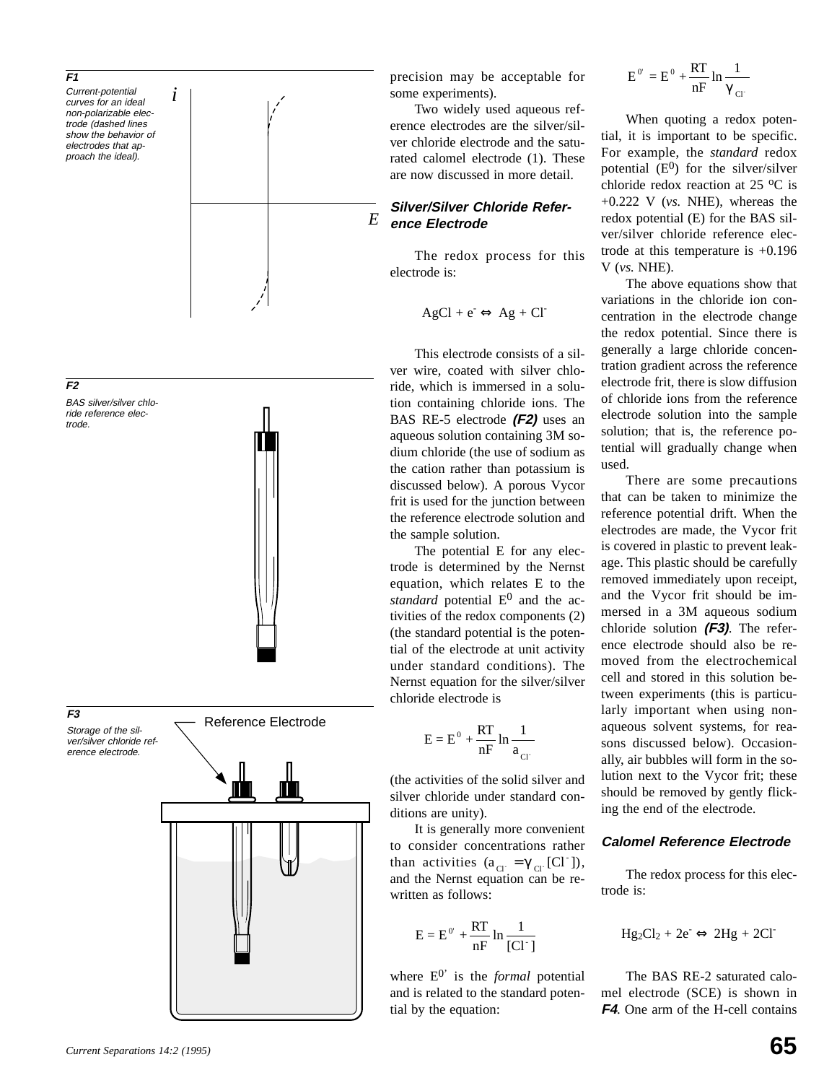**F1** Current-potential curves for an ideal non-polarizable electrode (dashed lines show the behavior of electrodes that approach the ideal).





precision may be acceptable for some experiments).

Two widely used aqueous reference electrodes are the silver/silver chloride electrode and the saturated calomel electrode (1). These are now discussed in more detail.

# **Silver/Silver Chloride Reference Electrode**

The redox process for this electrode is:

$$
AgCl + e^- \Leftrightarrow Ag + Cl^-
$$

This electrode consists of a silver wire, coated with silver chloride, which is immersed in a solution containing chloride ions. The BAS RE-5 electrode **(F2)** uses an aqueous solution containing 3M sodium chloride (the use of sodium as the cation rather than potassium is discussed below). A porous Vycor frit is used for the junction between the reference electrode solution and the sample solution.

The potential E for any electrode is determined by the Nernst equation, which relates E to the *standard* potential E0 and the activities of the redox components (2) (the standard potential is the potential of the electrode at unit activity under standard conditions). The Nernst equation for the silver/silver chloride electrode is

$$
E = E^0 + \frac{RT}{nF} \ln \frac{1}{a_{\text{Cl}^-}}
$$

(the activities of the solid silver and silver chloride under standard conditions are unity).

It is generally more convenient to consider concentrations rather than activities  $(a_{\text{Cl}^+} = \gamma_{\text{Cl}^-} [\text{Cl}^+])$ , and the Nernst equation can be rewritten as follows:

$$
E = E^0 + \frac{RT}{nF} \ln \frac{1}{[Cl^-]}
$$

where  $E^{0'}$  is the *formal* potential and is related to the standard potential by the equation:

$$
E^{0'} = E^0 + \frac{RT}{nF} \ln \frac{1}{\gamma_{Cl}}.
$$

When quoting a redox potential, it is important to be specific. For example, the *standard* redox potential  $(E^0)$  for the silver/silver chloride redox reaction at 25  $\mathrm{^{\circ}C}$  is +0.222 V (*vs.* NHE), whereas the redox potential (E) for the BAS silver/silver chloride reference electrode at this temperature is +0.196 V (*vs.* NHE).

The above equations show that variations in the chloride ion concentration in the electrode change the redox potential. Since there is generally a large chloride concentration gradient across the reference electrode frit, there is slow diffusion of chloride ions from the reference electrode solution into the sample solution; that is, the reference potential will gradually change when used.

There are some precautions that can be taken to minimize the reference potential drift. When the electrodes are made, the Vycor frit is covered in plastic to prevent leakage. This plastic should be carefully removed immediately upon receipt, and the Vycor frit should be immersed in a 3M aqueous sodium chloride solution **(F3)**. The reference electrode should also be removed from the electrochemical cell and stored in this solution between experiments (this is particularly important when using nonaqueous solvent systems, for reasons discussed below). Occasionally, air bubbles will form in the solution next to the Vycor frit; these should be removed by gently flicking the end of the electrode.

## **Calomel Reference Electrode**

The redox process for this electrode is:

$$
Hg_2Cl_2 + 2e^{\overline{\phantom{a}}} \Leftrightarrow 2Hg + 2Cl^{\overline{\phantom{a}}}
$$

The BAS RE-2 saturated calomel electrode (SCE) is shown in **F4**. One arm of the H-cell contains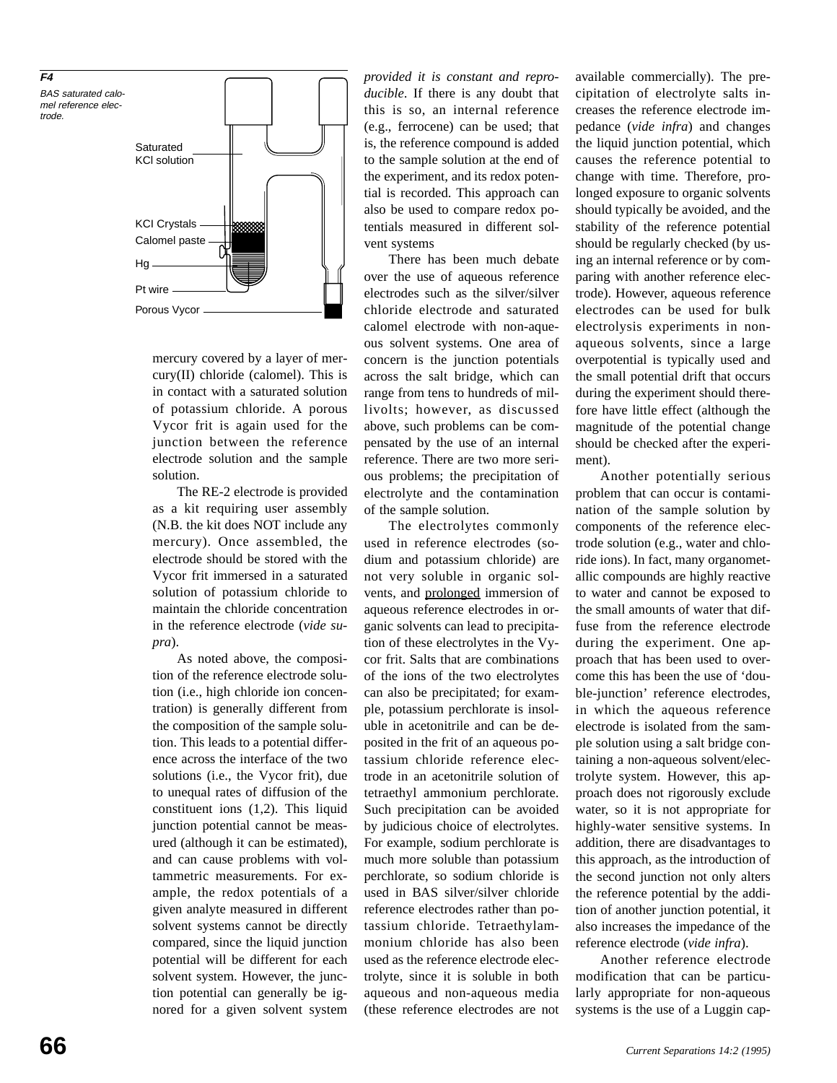

mercury covered by a layer of mercury(II) chloride (calomel). This is in contact with a saturated solution of potassium chloride. A porous Vycor frit is again used for the junction between the reference electrode solution and the sample solution.

The RE-2 electrode is provided as a kit requiring user assembly (N.B. the kit does NOT include any mercury). Once assembled, the electrode should be stored with the Vycor frit immersed in a saturated solution of potassium chloride to maintain the chloride concentration in the reference electrode (*vide supra*).

As noted above, the composition of the reference electrode solution (i.e., high chloride ion concentration) is generally different from the composition of the sample solution. This leads to a potential difference across the interface of the two solutions (i.e., the Vycor frit), due to unequal rates of diffusion of the constituent ions (1,2). This liquid junction potential cannot be measured (although it can be estimated), and can cause problems with voltammetric measurements. For example, the redox potentials of a given analyte measured in different solvent systems cannot be directly compared, since the liquid junction potential will be different for each solvent system. However, the junction potential can generally be ignored for a given solvent system

*provided it is constant and reproducible*. If there is any doubt that this is so, an internal reference (e.g., ferrocene) can be used; that is, the reference compound is added to the sample solution at the end of the experiment, and its redox potential is recorded. This approach can also be used to compare redox potentials measured in different solvent systems

There has been much debate over the use of aqueous reference electrodes such as the silver/silver chloride electrode and saturated calomel electrode with non-aqueous solvent systems. One area of concern is the junction potentials across the salt bridge, which can range from tens to hundreds of millivolts; however, as discussed above, such problems can be compensated by the use of an internal reference. There are two more serious problems; the precipitation of electrolyte and the contamination of the sample solution.

The electrolytes commonly used in reference electrodes (sodium and potassium chloride) are not very soluble in organic solvents, and prolonged immersion of aqueous reference electrodes in organic solvents can lead to precipitation of these electrolytes in the Vycor frit. Salts that are combinations of the ions of the two electrolytes can also be precipitated; for example, potassium perchlorate is insoluble in acetonitrile and can be deposited in the frit of an aqueous potassium chloride reference electrode in an acetonitrile solution of tetraethyl ammonium perchlorate. Such precipitation can be avoided by judicious choice of electrolytes. For example, sodium perchlorate is much more soluble than potassium perchlorate, so sodium chloride is used in BAS silver/silver chloride reference electrodes rather than potassium chloride. Tetraethylammonium chloride has also been used as the reference electrode electrolyte, since it is soluble in both aqueous and non-aqueous media (these reference electrodes are not

available commercially). The precipitation of electrolyte salts increases the reference electrode impedance (*vide infra*) and changes the liquid junction potential, which causes the reference potential to change with time. Therefore, prolonged exposure to organic solvents should typically be avoided, and the stability of the reference potential should be regularly checked (by using an internal reference or by comparing with another reference electrode). However, aqueous reference electrodes can be used for bulk electrolysis experiments in nonaqueous solvents, since a large overpotential is typically used and the small potential drift that occurs during the experiment should therefore have little effect (although the magnitude of the potential change should be checked after the experiment).

Another potentially serious problem that can occur is contamination of the sample solution by components of the reference electrode solution (e.g., water and chloride ions). In fact, many organometallic compounds are highly reactive to water and cannot be exposed to the small amounts of water that diffuse from the reference electrode during the experiment. One approach that has been used to overcome this has been the use of 'double-junction' reference electrodes, in which the aqueous reference electrode is isolated from the sample solution using a salt bridge containing a non-aqueous solvent/electrolyte system. However, this approach does not rigorously exclude water, so it is not appropriate for highly-water sensitive systems. In addition, there are disadvantages to this approach, as the introduction of the second junction not only alters the reference potential by the addition of another junction potential, it also increases the impedance of the reference electrode (*vide infra*).

Another reference electrode modification that can be particularly appropriate for non-aqueous systems is the use of a Luggin cap-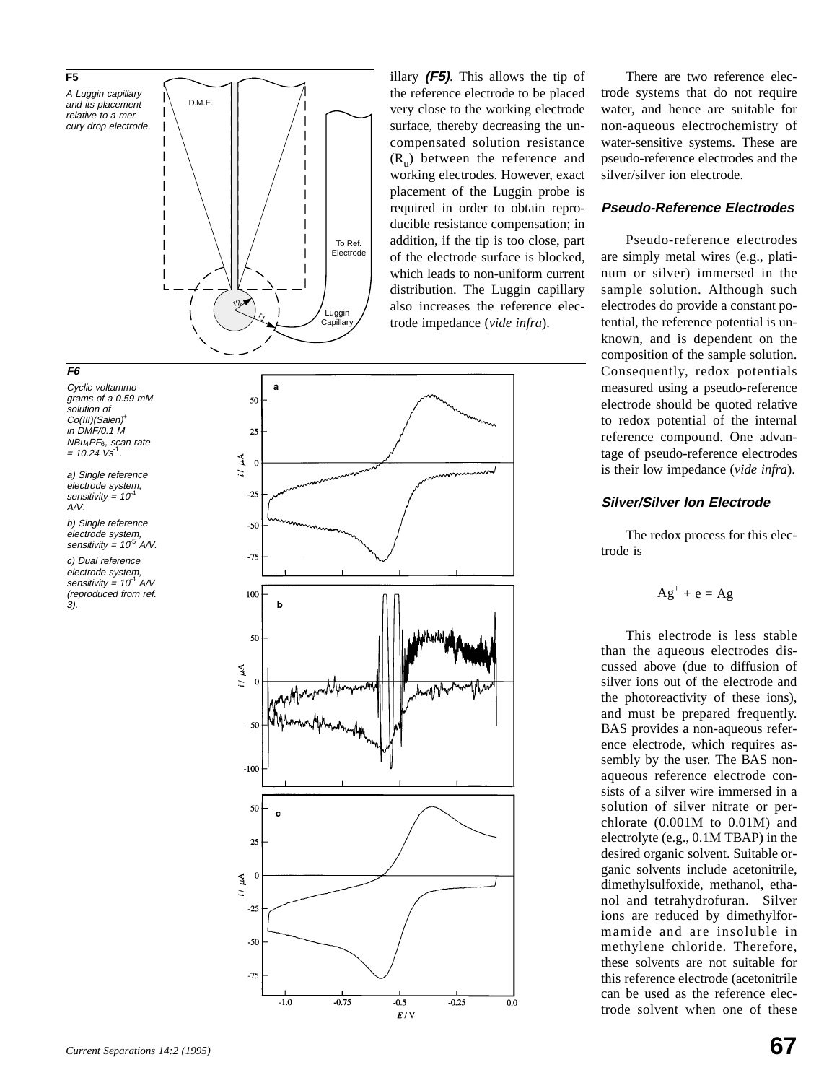

illary **(F5)**. This allows the tip of the reference electrode to be placed very close to the working electrode surface, thereby decreasing the uncompensated solution resistance  $(R<sub>u</sub>)$  between the reference and working electrodes. However, exact placement of the Luggin probe is required in order to obtain reproducible resistance compensation; in addition, if the tip is too close, part of the electrode surface is blocked, which leads to non-uniform current distribution. The Luggin capillary also increases the reference electrode impedance (*vide infra*).

There are two reference electrode systems that do not require water, and hence are suitable for non-aqueous electrochemistry of water-sensitive systems. These are pseudo-reference electrodes and the silver/silver ion electrode.

# **Pseudo-Reference Electrodes**

Pseudo-reference electrodes are simply metal wires (e.g., platinum or silver) immersed in the sample solution. Although such electrodes do provide a constant potential, the reference potential is unknown, and is dependent on the composition of the sample solution. Consequently, redox potentials measured using a pseudo-reference electrode should be quoted relative to redox potential of the internal reference compound. One advantage of pseudo-reference electrodes is their low impedance (*vide infra*).

## **Silver/Silver Ion Electrode**

The redox process for this electrode is

$$
Ag^+ + e = Ag
$$

This electrode is less stable than the aqueous electrodes discussed above (due to diffusion of silver ions out of the electrode and the photoreactivity of these ions), and must be prepared frequently. BAS provides a non-aqueous reference electrode, which requires assembly by the user. The BAS nonaqueous reference electrode consists of a silver wire immersed in a solution of silver nitrate or perchlorate (0.001M to 0.01M) and electrolyte (e.g., 0.1M TBAP) in the desired organic solvent. Suitable organic solvents include acetonitrile, dimethylsulfoxide, methanol, ethanol and tetrahydrofuran. Silver ions are reduced by dimethylformamide and are insoluble in methylene chloride. Therefore, these solvents are not suitable for this reference electrode (acetonitrile can be used as the reference electrode solvent when one of these

Cyclic voltammograms of <sup>a</sup> 0.59 mM solution of Co(III)(Salen)<sup>+</sup> in DMF/0.1 M NBu4PF6, scan rate

**F6**

 $A$  $N$ 

a) Single reference electrode system, sensitivity =  $10<sup>-4</sup>$ 

 $= 10.24$  Vs<sup>-1</sup>.

b) Single reference electrode system, sensitivity =  $10^5$  A/V.

c) Dual reference electrode system, sensitivity =  $10^4$  A/V (reproduced from ref. 3).